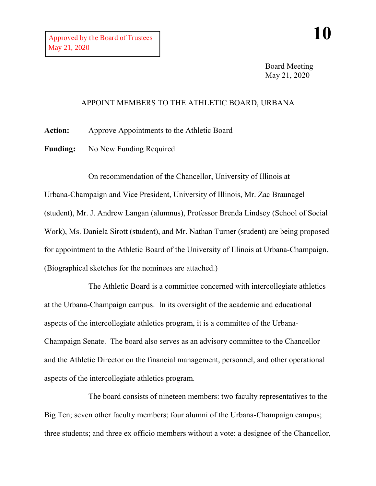Board Meeting May 21, 2020

## APPOINT MEMBERS TO THE ATHLETIC BOARD, URBANA

**Action:** Approve Appointments to the Athletic Board

Funding: No New Funding Required

On recommendation of the Chancellor, University of Illinois at Urbana-Champaign and Vice President, University of Illinois, Mr. Zac Braunagel (student), Mr. J. Andrew Langan (alumnus), Professor Brenda Lindsey (School of Social Work), Ms. Daniela Sirott (student), and Mr. Nathan Turner (student) are being proposed for appointment to the Athletic Board of the University of Illinois at Urbana-Champaign.

(Biographical sketches for the nominees are attached.)

The Athletic Board is a committee concerned with intercollegiate athletics at the Urbana-Champaign campus. In its oversight of the academic and educational aspects of the intercollegiate athletics program, it is a committee of the Urbana-Champaign Senate. The board also serves as an advisory committee to the Chancellor and the Athletic Director on the financial management, personnel, and other operational aspects of the intercollegiate athletics program.

The board consists of nineteen members: two faculty representatives to the Big Ten; seven other faculty members; four alumni of the Urbana-Champaign campus; three students; and three ex officio members without a vote: a designee of the Chancellor,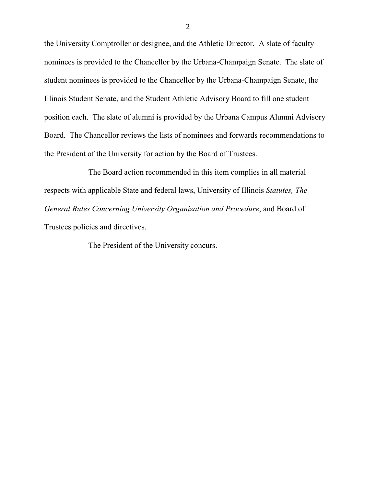the University Comptroller or designee, and the Athletic Director. A slate of faculty nominees is provided to the Chancellor by the Urbana-Champaign Senate. The slate of student nominees is provided to the Chancellor by the Urbana-Champaign Senate, the Illinois Student Senate, and the Student Athletic Advisory Board to fill one student position each. The slate of alumni is provided by the Urbana Campus Alumni Advisory Board. The Chancellor reviews the lists of nominees and forwards recommendations to the President of the University for action by the Board of Trustees.

The Board action recommended in this item complies in all material respects with applicable State and federal laws, University of Illinois *Statutes, The General Rules Concerning University Organization and Procedure*, and Board of Trustees policies and directives.

The President of the University concurs.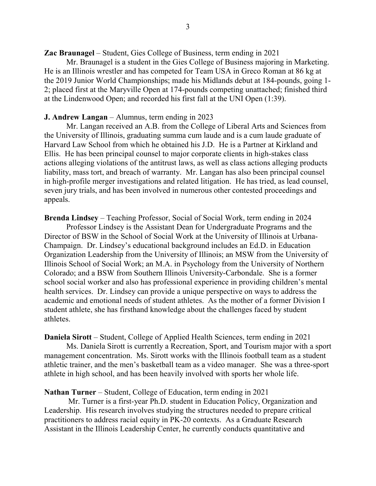**Zac Braunagel** – Student, Gies College of Business, term ending in 2021

Mr. Braunagel is a student in the Gies College of Business majoring in Marketing. He is an Illinois wrestler and has competed for Team USA in Greco Roman at 86 kg at the 2019 Junior World Championships; made his Midlands debut at 184-pounds, going 1- 2; placed first at the Maryville Open at 174-pounds competing unattached; finished third at the Lindenwood Open; and recorded his first fall at the UNI Open (1:39).

## **J. Andrew Langan** – Alumnus, term ending in 2023

Mr. Langan received an A.B. from the College of Liberal Arts and Sciences from the University of Illinois, graduating summa cum laude and is a cum laude graduate of Harvard Law School from which he obtained his J.D. He is a Partner at Kirkland and Ellis. He has been principal counsel to major corporate clients in high-stakes class actions alleging violations of the antitrust laws, as well as class actions alleging products liability, mass tort, and breach of warranty. Mr. Langan has also been principal counsel in high-profile merger investigations and related litigation. He has tried, as lead counsel, seven jury trials, and has been involved in numerous other contested proceedings and appeals.

**Brenda Lindsey** – Teaching Professor, Social of Social Work, term ending in 2024

Professor Lindsey is the Assistant Dean for Undergraduate Programs and the Director of BSW in the School of Social Work at the University of Illinois at Urbana-Champaign. Dr. Lindsey's educational background includes an Ed.D. in Education Organization Leadership from the University of Illinois; an MSW from the University of Illinois School of Social Work; an M.A. in Psychology from the University of Northern Colorado; and a BSW from Southern Illinois University-Carbondale. She is a former school social worker and also has professional experience in providing children's mental health services. Dr. Lindsey can provide a unique perspective on ways to address the academic and emotional needs of student athletes. As the mother of a former Division I student athlete, she has firsthand knowledge about the challenges faced by student athletes.

**Daniela Sirott** – Student, College of Applied Health Sciences, term ending in 2021

Ms. Daniela Sirott is currently a Recreation, Sport, and Tourism major with a sport management concentration. Ms. Sirott works with the Illinois football team as a student athletic trainer, and the men's basketball team as a video manager. She was a three-sport athlete in high school, and has been heavily involved with sports her whole life.

## **Nathan Turner** – Student, College of Education, term ending in 2021

Mr. Turner is a first-year Ph.D. student in Education Policy, Organization and Leadership. His research involves studying the structures needed to prepare critical practitioners to address racial equity in PK-20 contexts. As a Graduate Research Assistant in the Illinois Leadership Center, he currently conducts quantitative and